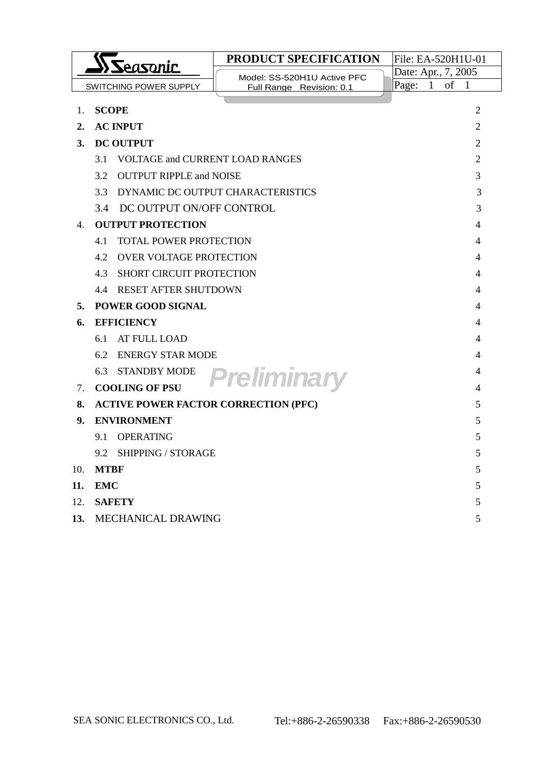|                                           | Seasonic                                      | <b>PRODUCT SPECIFICATION</b>      | File: EA-520H1U-01                 |  |
|-------------------------------------------|-----------------------------------------------|-----------------------------------|------------------------------------|--|
|                                           |                                               | Model: SS-520H1U Active PFC       | Date: Apr., 7, 2005                |  |
|                                           | SWITCHING POWER SUPPLY                        | Full Range Revision: 0.1          | Page:<br>of<br>$\mathbf{1}$<br>- 1 |  |
| 1.                                        | <b>SCOPE</b>                                  |                                   | 2                                  |  |
| 2.                                        | <b>AC INPUT</b>                               |                                   | 2                                  |  |
| 3.                                        | <b>DC OUTPUT</b>                              |                                   | $\overline{2}$                     |  |
|                                           | 3.1<br><b>VOLTAGE and CURRENT LOAD RANGES</b> |                                   | 2                                  |  |
|                                           | 3.2<br><b>OUTPUT RIPPLE and NOISE</b>         |                                   | 3                                  |  |
|                                           | 33                                            | DYNAMIC DC OUTPUT CHARACTERISTICS | 3                                  |  |
|                                           | 3.4 DC OUTPUT ON/OFF CONTROL                  |                                   | 3                                  |  |
| 4.                                        | <b>OUTPUT PROTECTION</b>                      |                                   | 4                                  |  |
|                                           | <b>TOTAL POWER PROTECTION</b><br>4.1          |                                   | 4                                  |  |
|                                           | <b>OVER VOLTAGE PROTECTION</b><br>4.2<br>4    |                                   |                                    |  |
|                                           | 4.3<br><b>SHORT CIRCUIT PROTECTION</b><br>4   |                                   |                                    |  |
|                                           | <b>RESET AFTER SHUTDOWN</b><br>4.4<br>4       |                                   |                                    |  |
| 5.                                        | <b>POWER GOOD SIGNAL</b><br>4                 |                                   |                                    |  |
| 6.                                        | <b>EFFICIENCY</b>                             |                                   | 4                                  |  |
|                                           | 6.1<br>AT FULL LOAD<br>4                      |                                   |                                    |  |
|                                           | <b>ENERGY STAR MODE</b><br>6.2<br>4           |                                   |                                    |  |
|                                           | 6.3<br><b>STANDBY MODE</b>                    | Preliminary                       | 4                                  |  |
| $7_{\scriptscriptstyle{\ddot{\text{c}}}}$ | <b>COOLING OF PSU</b>                         |                                   | 4                                  |  |
| 8.                                        | <b>ACTIVE POWER FACTOR CORRECTION (PFC)</b>   |                                   | 5                                  |  |
| 9.                                        | <b>ENVIRONMENT</b>                            |                                   | 5                                  |  |
|                                           | 9.1<br>OPERATING                              |                                   | 5                                  |  |
|                                           | 9.2<br><b>SHIPPING / STORAGE</b>              |                                   | 5                                  |  |
| 10.                                       | <b>MTBF</b>                                   |                                   | 5                                  |  |
| 11.                                       | <b>EMC</b>                                    |                                   | 5                                  |  |
| 12.                                       | <b>SAFETY</b>                                 |                                   | 5                                  |  |
| 13.                                       | MECHANICAL DRAWING<br>5                       |                                   |                                    |  |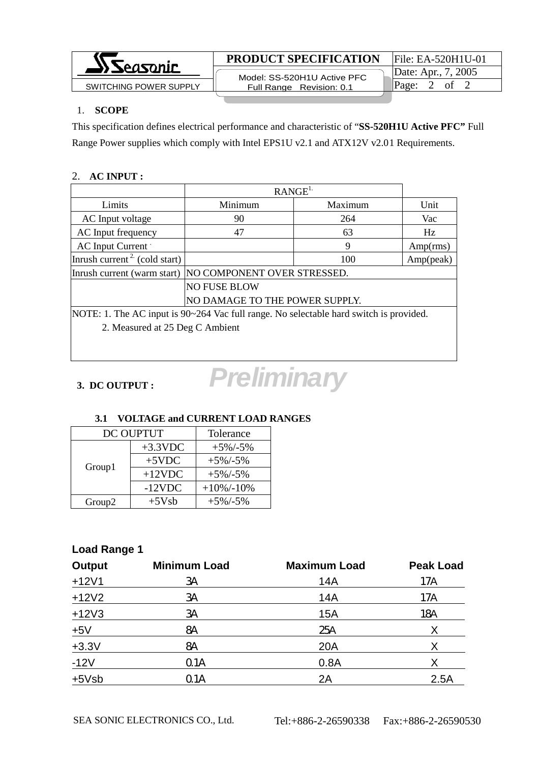

 Model: SS-520H1U Active PFC Full Range Revision: 0.1

### 1. **SCOPE**

This specification defines electrical performance and characteristic of "**SS-520H1U Active PFC"** Full Range Power supplies which comply with Intel EPS1U v2.1 and ATX12V v2.01 Requirements.

#### 2. **AC INPUT :**

|                                                                                        | RANGE <sup>L</sup>              |         |           |
|----------------------------------------------------------------------------------------|---------------------------------|---------|-----------|
| Limits                                                                                 | Minimum                         | Maximum | Unit      |
| AC Input voltage                                                                       | 90                              | 264     | Vac       |
| AC Input frequency                                                                     | 47                              | 63      | Hz        |
| AC Input Current                                                                       |                                 | 9       | Amp(rms)  |
| Inrush current <sup>2</sup> (cold start)                                               |                                 | 100     | Amp(peak) |
| NO COMPONENT OVER STRESSED.<br>Inrush current (warm start)                             |                                 |         |           |
|                                                                                        | <b>NO FUSE BLOW</b>             |         |           |
| NO DAMAGE TO THE POWER SUPPLY.                                                         |                                 |         |           |
| NOTE: 1. The AC input is 90~264 Vac full range. No selectable hard switch is provided. |                                 |         |           |
|                                                                                        | 2. Measured at 25 Deg C Ambient |         |           |
|                                                                                        |                                 |         |           |

# *Preliminary*

## **3. DC OUTPUT :**

#### **3.1 VOLTAGE and CURRENT LOAD RANGES** DC OUDTUTE Tolerance ᄀ

| DC OUPTUT          |            | Tolerance     |
|--------------------|------------|---------------|
| Group1             | $+3.3$ VDC | $+5\%/-5\%$   |
|                    | $+5$ VDC   | $+5\%$ /-5%   |
|                    | $+12$ VDC  | $+5\%$ /-5%   |
|                    | $-12VDC$   | $+10\%/-10\%$ |
| Group <sub>2</sub> | $+5Vsb$    | $+5\%/-5\%$   |

# **Load Range 1**

| <b>Output</b> | <b>Minimum Load</b> | <b>Maximum Load</b> | <b>Peak Load</b> |
|---------------|---------------------|---------------------|------------------|
| $+12V1$       | 3A                  | 14A                 | 17A              |
| $+12V2$       | 3A                  | 14A                 | 17A              |
| $+12V3$       | 3A                  | 15A                 | 18A              |
| $+5V$         | <b>8A</b>           | 25A                 | X                |
| $+3.3V$       | <b>8A</b>           | 20A                 | X                |
| $-12V$        | Q1A                 | 0.8A                | X                |
| $+5Vsb$       | Q <sub>1</sub> A    | 2A                  | 2.5A             |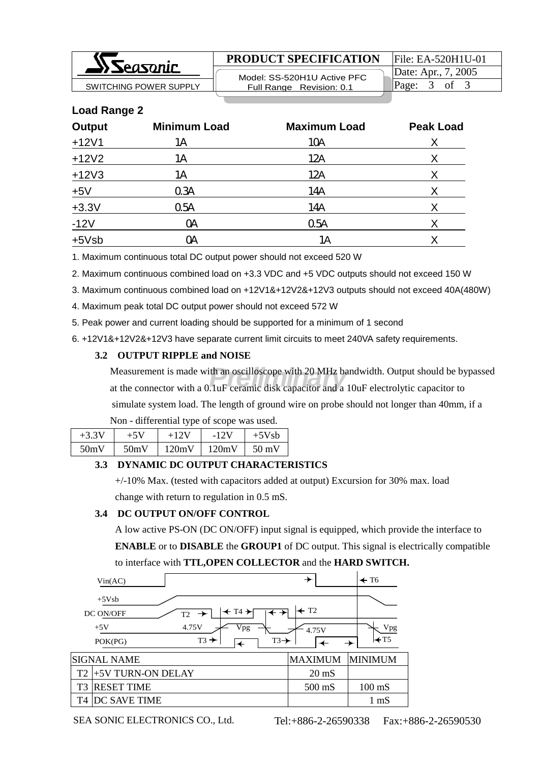

 Model: SS-520H1U Active PFC SWITCHING POWER SUPPLY **Full Range Revision: 0.1** Page: 3 of 3

Date: Apr., 7, 2005

### **Load Range 2**

| <b>Output</b> | <b>Minimum Load</b> | <b>Maximum Load</b> | <b>Peak Load</b> |
|---------------|---------------------|---------------------|------------------|
| $+12V1$       | 1Α                  | 10A                 | Χ                |
| $+12V2$       | 1Α                  | 12A                 | X                |
| $+12V3$       | 1Α                  | 12A                 | Χ                |
| $+5V$         | 0.34                | 14A                 | Χ                |
| $+3.3V$       | 05A                 | 14A                 | Χ                |
| $-12V$        | <b>OA</b>           | 05A                 | Χ                |
| $+5Vsb$       | ОA                  | 1Α                  | Χ                |

1. Maximum continuous total DC output power should not exceed 520 W

2. Maximum continuous combined load on +3.3 VDC and +5 VDC outputs should not exceed 150 W

3. Maximum continuous combined load on +12V1&+12V2&+12V3 outputs should not exceed 40A(480W)

4. Maximum peak total DC output power should not exceed 572 W

5. Peak power and current loading should be supported for a minimum of 1 second

6. +12V1&+12V2&+12V3 have separate current limit circuits to meet 240VA safety requirements.

#### **3.2 OUTPUT RIPPLE and NOISE**

Measurement is made with an oscilloscope with 20 MHz bandwidth. Output should be bypassed<br>at the connector with a 0.1uF ceramic disk capacitor and a 10uF electrolytic capacitor to at the connector with a 0.1uF ceramic disk capacitor and a 10uF electrolytic capacitor to simulate system load. The length of ground wire on probe should not longer than 40mm, if a

| $+3.3V$ |      | $+12V$ | $-12V$ | $+5Vsb$         |
|---------|------|--------|--------|-----------------|
| 50mV    | 50mV | 120mV  | 120mV  | $50 \text{ mV}$ |

#### **3.3 DYNAMIC DC OUTPUT CHARACTERISTICS**

 +/-10% Max. (tested with capacitors added at output) Excursion for 30% max. load change with return to regulation in 0.5 mS.

#### **3.4 DC OUTPUT ON/OFF CONTROL**

 A low active PS-ON (DC ON/OFF) input signal is equipped, which provide the interface to **ENABLE** or to **DISABLE** the **GROUP1** of DC output. This signal is electrically compatible to interface with **TTL,OPEN COLLECTOR** and the **HARD SWITCH.**

|                | Vin(AC)                                                                                                                                               | →                                    | $\div$ T6              |
|----------------|-------------------------------------------------------------------------------------------------------------------------------------------------------|--------------------------------------|------------------------|
|                | $+5Vsb$<br>$\leftarrow$ T4 $\rightarrow$<br>DC ON/OFF<br>$T2 \rightarrow$<br>4.75V<br>Vpg<br>$+5V$<br>$T3 \rightarrow$<br>$T3 \rightarrow$<br>POK(PG) | $\leftarrow$ T <sub>2</sub><br>4.75V | Vpg<br>$\mathsf{H}$ T5 |
|                | SIGNAL NAME                                                                                                                                           | <b>MAXIMUM</b>                       | <b>MINIMUM</b>         |
| T <sub>2</sub> | +5V TURN-ON DELAY                                                                                                                                     | $20 \text{ mS}$                      |                        |
| T <sub>3</sub> | <b>RESET TIME</b>                                                                                                                                     | $500$ mS                             | $100 \text{ mS}$       |
| T4             | DC SAVE TIME                                                                                                                                          |                                      | 1 mS                   |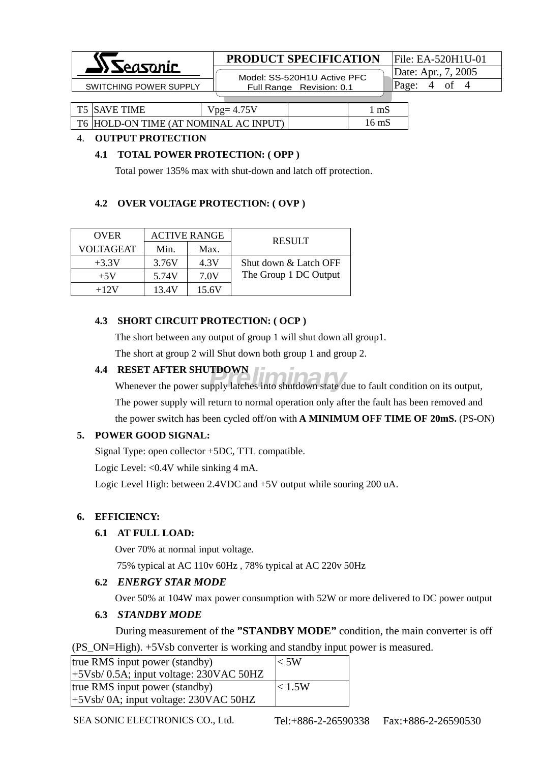

 Model: SS-520H1U Active PFC Full Range Revision: 0.1  $SW$ ITCHING POWER SUPPLY  $\begin{array}{|l|}\n\hline\n\end{array}$  Full Range Revision: 0.1  $\begin{array}{|l|}\n\hline\n\end{array}$  Page: 4 of 4

Date: Apr., 7, 2005

| <b>T5 SAVE TIME</b>                   | $Vpg=4.75V$ | mS    |
|---------------------------------------|-------------|-------|
| T6 HOLD-ON TIME (AT NOMINAL AC INPUT) |             | 16 mS |

#### 4. **OUTPUT PROTECTION**

#### **4.1 TOTAL POWER PROTECTION: ( OPP )**

Total power 135% max with shut-down and latch off protection.

#### **4.2 OVER VOLTAGE PROTECTION: ( OVP )**

| <b>OVER</b> | <b>ACTIVE RANGE</b> |       | <b>RESULT</b>         |
|-------------|---------------------|-------|-----------------------|
| VOLTAGEAT   | Min.                | Max.  |                       |
| $+3.3V$     | 3.76V               | 4.3V  | Shut down & Latch OFF |
| $+5V$       | 5.74V               | 7.0V  | The Group 1 DC Output |
| $+12V$      | 13.4V               | 15.6V |                       |

#### **4.3 SHORT CIRCUIT PROTECTION: ( OCP )**

 The short between any output of group 1 will shut down all group1. The short at group 2 will Shut down both group 1 and group 2.

#### **4.4 RESET AFTER SHUTDOWN**

**PRELIMINARY RESET AFTER SHUTDOWN**<br>Whenever the power supply latches into shutdown state due to fault condition on its output, The power supply will return to normal operation only after the fault has been removed and the power switch has been cycled off/on with **A MINIMUM OFF TIME OF 20mS.** (PS-ON)

#### **5. POWER GOOD SIGNAL:**

Signal Type: open collector +5DC, TTL compatible.

Logic Level: <0.4V while sinking 4 mA.

Logic Level High: between 2.4VDC and +5V output while souring 200 uA.

#### **6. EFFICIENCY:**

#### **6.1 AT FULL LOAD:**

Over 70% at normal input voltage.

75% typical at AC 110v 60Hz , 78% typical at AC 220v 50Hz

#### **6.2** *ENERGY STAR MODE*

Over 50% at 104W max power consumption with 52W or more delivered to DC power output

#### **6.3** *STANDBY MODE*

During measurement of the **"STANDBY MODE"** condition, the main converter is off

(PS\_ON=High). +5Vsb converter is working and standby input power is measured.

| true RMS input power (standby)            | $<$ 5W |
|-------------------------------------------|--------|
| $+5Vsb/0.5A$ ; input voltage: 230VAC 50HZ |        |
| true RMS input power (standby)            | < 1.5W |
| $(+5Vsb/0A;$ input voltage: 230VAC 50HZ   |        |